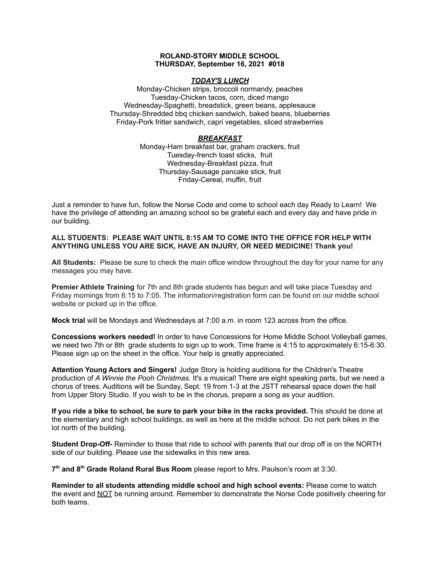### **ROLAND-STORY MIDDLE SCHOOL THURSDAY, September 16, 2021 #018**

### *TODAY'S LUNCH*

Monday-Chicken strips, broccoli normandy, peaches Tuesday-Chicken tacos, corn, diced mango Wednesday-Spaghetti, breadstick, green beans, applesauce Thursday-Shredded bbq chicken sandwich, baked beans, blueberries Friday-Pork fritter sandwich, capri vegetables, sliced strawberries

## *BREAKFAST*

Monday-Ham breakfast bar, graham crackers, fruit Tuesday-french toast sticks, fruit Wednesday-Breakfast pizza, fruit Thursday-Sausage pancake stick, fruit Friday-Cereal, muffin, fruit

Just a reminder to have fun, follow the Norse Code and come to school each day Ready to Learn! We have the privilege of attending an amazing school so be grateful each and every day and have pride in our building.

## **ALL STUDENTS: PLEASE WAIT UNTIL 8:15 AM TO COME INTO THE OFFICE FOR HELP WITH ANYTHING UNLESS YOU ARE SICK, HAVE AN INJURY, OR NEED MEDICINE! Thank you!**

**All Students:** Please be sure to check the main office window throughout the day for your name for any messages you may have.

**Premier Athlete Training** for 7th and 8th grade students has begun and will take place Tuesday and Friday mornings from 6:15 to 7:05. The information/registration form can be found on our middle school website or picked up in the office.

**Mock trial** will be Mondays and Wednesdays at 7:00 a.m. in room 123 across from the office.

**Concessions workers needed!** In order to have Concessions for Home Middle School Volleyball games, we need two 7th or 8th grade students to sign up to work. Time frame is 4:15 to approximately 6:15-6:30. Please sign up on the sheet in the office. Your help is greatly appreciated.

**Attention Young Actors and Singers!** Judge Story is holding auditions for the Children's Theatre production of *A Winnie the Pooh Christmas.* It's a musical! There are eight speaking parts, but we need a chorus of trees. Auditions will be Sunday, Sept. 19 from 1-3 at the JSTT rehearsal space down the hall from Upper Story Studio. If you wish to be in the chorus, prepare a song as your audition.

**If you ride a bike to school, be sure to park your bike in the racks provided.** This should be done at the elementary and high school buildings, as well as here at the middle school. Do not park bikes in the lot north of the building.

**Student Drop-Off-** Reminder to those that ride to school with parents that our drop off is on the NORTH side of our building. Please use the sidewalks in this new area.

**7 th and 8 th Grade Roland Rural Bus Room** please report to Mrs. Paulson's room at 3:30.

**Reminder to all students attending middle school and high school events:** Please come to watch the event and NOT be running around. Remember to demonstrate the Norse Code positively cheering for both teams.